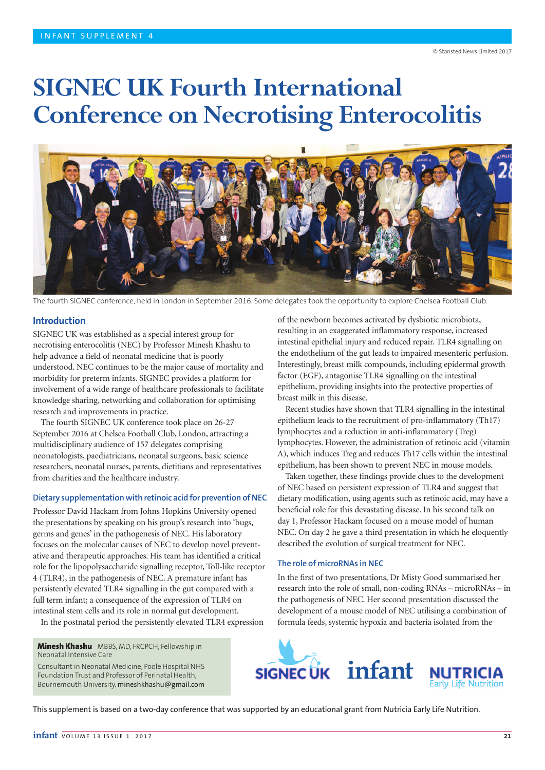# **SIGNEC UK Fourth International Conference on Necrotising Enterocolitis**



The fourth SIGNEC conference, held in London in September 2016. Some delegates took the opportunity to explore Chelsea Football Club.

## **Introduction**

SIGNEC UK was established as a special interest group for necrotising enterocolitis (NEC) by Professor Minesh Khashu to help advance a field of neonatal medicine that is poorly understood. NEC continues to be the major cause of mortality and morbidity for preterm infants. SIGNEC provides a platform for involvement of a wide range of healthcare professionals to facilitate knowledge sharing, networking and collaboration for optimising research and improvements in practice.

The fourth SIGNEC UK conference took place on 26-27 September 2016 at Chelsea Football Club, London, attracting a multidisciplinary audience of 157 delegates comprising neonatologists, paediatricians, neonatal surgeons, basic science researchers, neonatal nurses, parents, dietitians and representatives from charities and the healthcare industry.

#### **Dietary supplementation with retinoic acid for prevention of NEC**

Professor David Hackam from Johns Hopkins University opened the presentations by speaking on his group's research into 'bugs, germs and genes' in the pathogenesis of NEC. His laboratory focuses on the molecular causes of NEC to develop novel preventative and therapeutic approaches. His team has identified a critical role for the lipopolysaccharide signalling receptor, Toll-like receptor 4 (TLR4), in the pathogenesis of NEC. A premature infant has persistently elevated TLR4 signalling in the gut compared with a full term infant; a consequence of the expression of TLR4 on intestinal stem cells and its role in normal gut development.

In the postnatal period the persistently elevated TLR4 expression

**Minesh Khashu** MBBS, MD, FRCPCH, Fellowship in Neonatal Intensive Care

Consultant in Neonatal Medicine, Poole Hospital NHS Foundation Trust and Professor of Perinatal Health, Bournemouth University. mineshkhashu@gmail.com

of the newborn becomes activated by dysbiotic microbiota, resulting in an exaggerated inflammatory response, increased intestinal epithelial injury and reduced repair. TLR4 signalling on the endothelium of the gut leads to impaired mesenteric perfusion. Interestingly, breast milk compounds, including epidermal growth factor (EGF), antagonise TLR4 signalling on the intestinal epithelium, providing insights into the protective properties of breast milk in this disease.

Recent studies have shown that TLR4 signalling in the intestinal epithelium leads to the recruitment of pro-inflammatory (Th17) lymphocytes and a reduction in anti-inflammatory (Treg) lymphocytes. However, the administration of retinoic acid (vitamin A), which induces Treg and reduces Th17 cells within the intestinal epithelium, has been shown to prevent NEC in mouse models.

Taken together, these findings provide clues to the development of NEC based on persistent expression of TLR4 and suggest that dietary modification, using agents such as retinoic acid, may have a beneficial role for this devastating disease. In his second talk on day 1, Professor Hackam focused on a mouse model of human NEC. On day 2 he gave a third presentation in which he eloquently described the evolution of surgical treatment for NEC.

#### **The role of microRNAs in NEC**

In the first of two presentations, Dr Misty Good summarised her research into the role of small, non-coding RNAs – microRNAs – in the pathogenesis of NEC. Her second presentation discussed the development of a mouse model of NEC utilising a combination of formula feeds, systemic hypoxia and bacteria isolated from the



This supplement is based on a two-day conference that was supported by an educational grant from Nutricia Early Life Nutrition.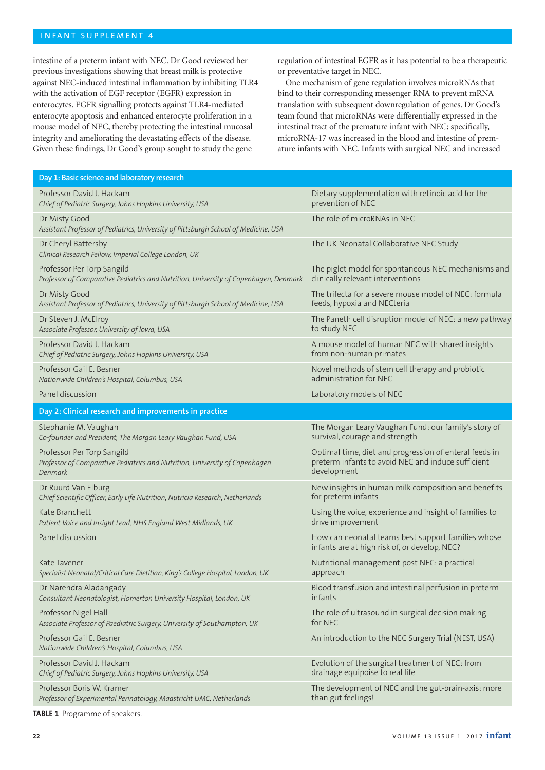# INFANT SUPPLEMENT 4

intestine of a preterm infant with NEC. Dr Good reviewed her previous investigations showing that breast milk is protective against NEC-induced intestinal inflammation by inhibiting TLR4 with the activation of EGF receptor (EGFR) expression in enterocytes. EGFR signalling protects against TLR4-mediated enterocyte apoptosis and enhanced enterocyte proliferation in a mouse model of NEC, thereby protecting the intestinal mucosal integrity and ameliorating the devastating effects of the disease. Given these findings, Dr Good's group sought to study the gene

regulation of intestinal EGFR as it has potential to be a therapeutic or preventative target in NEC.

One mechanism of gene regulation involves microRNAs that bind to their corresponding messenger RNA to prevent mRNA translation with subsequent downregulation of genes. Dr Good's team found that microRNAs were differentially expressed in the intestinal tract of the premature infant with NEC; specifically, microRNA-17 was increased in the blood and intestine of premature infants with NEC. Infants with surgical NEC and increased

| Day 1: Basic science and laboratory research                                                         |                                                                                                     |
|------------------------------------------------------------------------------------------------------|-----------------------------------------------------------------------------------------------------|
| Professor David J. Hackam                                                                            | Dietary supplementation with retinoic acid for the                                                  |
| Chief of Pediatric Surgery, Johns Hopkins University, USA                                            | prevention of NEC                                                                                   |
| Dr Misty Good<br>Assistant Professor of Pediatrics, University of Pittsburgh School of Medicine, USA | The role of microRNAs in NEC                                                                        |
| Dr Cheryl Battersby<br>Clinical Research Fellow, Imperial College London, UK                         | The UK Neonatal Collaborative NEC Study                                                             |
| Professor Per Torp Sangild                                                                           | The piglet model for spontaneous NEC mechanisms and                                                 |
| Professor of Comparative Pediatrics and Nutrition, University of Copenhagen, Denmark                 | clinically relevant interventions                                                                   |
| Dr Misty Good                                                                                        | The trifecta for a severe mouse model of NEC: formula                                               |
| Assistant Professor of Pediatrics, University of Pittsburgh School of Medicine, USA                  | feeds, hypoxia and NECteria                                                                         |
| Dr Steven J. McElroy                                                                                 | The Paneth cell disruption model of NEC: a new pathway                                              |
| Associate Professor, University of Iowa, USA                                                         | to study NEC                                                                                        |
| Professor David J. Hackam                                                                            | A mouse model of human NEC with shared insights                                                     |
| Chief of Pediatric Surgery, Johns Hopkins University, USA                                            | from non-human primates                                                                             |
| Professor Gail E. Besner                                                                             | Novel methods of stem cell therapy and probiotic                                                    |
| Nationwide Children's Hospital, Columbus, USA                                                        | administration for NEC                                                                              |
| Panel discussion                                                                                     | Laboratory models of NEC                                                                            |
| Day 2: Clinical research and improvements in practice                                                |                                                                                                     |
| Stephanie M. Vaughan                                                                                 | The Morgan Leary Vaughan Fund: our family's story of                                                |
| Co-founder and President, The Morgan Leary Vaughan Fund, USA                                         | survival, courage and strength                                                                      |
| Professor Per Torp Sangild                                                                           | Optimal time, diet and progression of enteral feeds in                                              |
| Professor of Comparative Pediatrics and Nutrition, University of Copenhagen                          | preterm infants to avoid NEC and induce sufficient                                                  |
| Denmark                                                                                              | development                                                                                         |
| Dr Ruurd Van Elburg                                                                                  | New insights in human milk composition and benefits                                                 |
| Chief Scientific Officer, Early Life Nutrition, Nutricia Research, Netherlands                       | for preterm infants                                                                                 |
| Kate Branchett                                                                                       | Using the voice, experience and insight of families to                                              |
| Patient Voice and Insight Lead, NHS England West Midlands, UK                                        | drive improvement                                                                                   |
| Panel discussion                                                                                     | How can neonatal teams best support families whose<br>infants are at high risk of, or develop, NEC? |
| Kate Tavener                                                                                         | Nutritional management post NEC: a practical                                                        |
| Specialist Neonatal/Critical Care Dietitian, King's College Hospital, London, UK                     | approach                                                                                            |
| Dr Narendra Aladangady                                                                               | Blood transfusion and intestinal perfusion in preterm                                               |
| Consultant Neonatologist, Homerton University Hospital, London, UK                                   | infants                                                                                             |
| Professor Nigel Hall                                                                                 | The role of ultrasound in surgical decision making                                                  |
| Associate Professor of Paediatric Surgery, University of Southampton, UK                             | for NEC                                                                                             |
| Professor Gail E. Besner<br>Nationwide Children's Hospital, Columbus, USA                            | An introduction to the NEC Surgery Trial (NEST, USA)                                                |
| Professor David J. Hackam                                                                            | Evolution of the surgical treatment of NEC: from                                                    |
| Chief of Pediatric Surgery, Johns Hopkins University, USA                                            | drainage equipoise to real life                                                                     |
| Professor Boris W. Kramer                                                                            | The development of NEC and the gut-brain-axis: more                                                 |
| Professor of Experimental Perinatology, Maastricht UMC, Netherlands                                  | than gut feelings!                                                                                  |
|                                                                                                      |                                                                                                     |

**TABLE 1** Programme of speakers.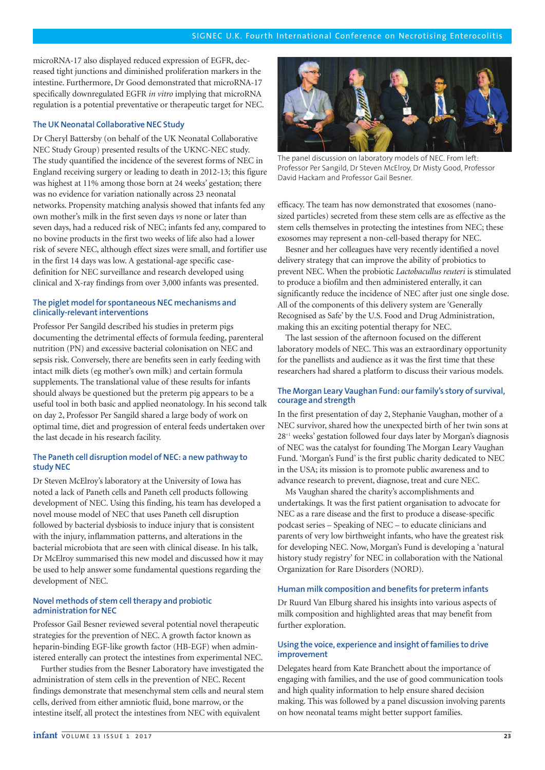microRNA-17 also displayed reduced expression of EGFR, decreased tight junctions and diminished proliferation markers in the intestine. Furthermore, Dr Good demonstrated that microRNA-17 specifically downregulated EGFR *in vitro* implying that microRNA regulation is a potential preventative or therapeutic target for NEC.

## **The UK Neonatal Collaborative NEC Study**

Dr Cheryl Battersby (on behalf of the UK Neonatal Collaborative NEC Study Group) presented results of the UKNC-NEC study. The study quantified the incidence of the severest forms of NEC in England receiving surgery or leading to death in 2012-13; this figure was highest at 11% among those born at 24 weeks' gestation; there was no evidence for variation nationally across 23 neonatal networks. Propensity matching analysis showed that infants fed any own mother's milk in the first seven days *vs* none or later than seven days, had a reduced risk of NEC; infants fed any, compared to no bovine products in the first two weeks of life also had a lower risk of severe NEC, although effect sizes were small, and fortifier use in the first 14 days was low. A gestational-age specific casedefinition for NEC surveillance and research developed using clinical and X-ray findings from over 3,000 infants was presented.

## **The piglet model for spontaneous NEC mechanisms and clinically-relevant interventions**

Professor Per Sangild described his studies in preterm pigs documenting the detrimental effects of formula feeding, parenteral nutrition (PN) and excessive bacterial colonisation on NEC and sepsis risk. Conversely, there are benefits seen in early feeding with intact milk diets (eg mother's own milk) and certain formula supplements. The translational value of these results for infants should always be questioned but the preterm pig appears to be a useful tool in both basic and applied neonatology. In his second talk on day 2, Professor Per Sangild shared a large body of work on optimal time, diet and progression of enteral feeds undertaken over the last decade in his research facility.

# **The Paneth cell disruption model of NEC: a new pathway to study NEC**

Dr Steven McElroy's laboratory at the University of Iowa has noted a lack of Paneth cells and Paneth cell products following development of NEC. Using this finding, his team has developed a novel mouse model of NEC that uses Paneth cell disruption followed by bacterial dysbiosis to induce injury that is consistent with the injury, inflammation patterns, and alterations in the bacterial microbiota that are seen with clinical disease. In his talk, Dr McElroy summarised this new model and discussed how it may be used to help answer some fundamental questions regarding the development of NEC.

# **Novel methods of stem cell therapy and probiotic administration for NEC**

Professor Gail Besner reviewed several potential novel therapeutic strategies for the prevention of NEC. A growth factor known as heparin-binding EGF-like growth factor (HB-EGF) when administered enterally can protect the intestines from experimental NEC.

Further studies from the Besner Laboratory have investigated the administration of stem cells in the prevention of NEC. Recent findings demonstrate that mesenchymal stem cells and neural stem cells, derived from either amniotic fluid, bone marrow, or the intestine itself, all protect the intestines from NEC with equivalent



The panel discussion on laboratory models of NEC. From left: Professor Per Sangild, Dr Steven McElroy, Dr Misty Good, Professor David Hackam and Professor Gail Besner.

efficacy. The team has now demonstrated that exosomes (nanosized particles) secreted from these stem cells are as effective as the stem cells themselves in protecting the intestines from NEC; these exosomes may represent a non-cell-based therapy for NEC.

Besner and her colleagues have very recently identified a novel delivery strategy that can improve the ability of probiotics to prevent NEC. When the probiotic *Lactobacullus reuteri* is stimulated to produce a biofilm and then administered enterally, it can significantly reduce the incidence of NEC after just one single dose. All of the components of this delivery system are 'Generally Recognised as Safe' by the U.S. Food and Drug Administration, making this an exciting potential therapy for NEC.

The last session of the afternoon focused on the different laboratory models of NEC. This was an extraordinary opportunity for the panellists and audience as it was the first time that these researchers had shared a platform to discuss their various models.

## **The Morgan Leary Vaughan Fund: our family's story of survival, courage and strength**

In the first presentation of day 2, Stephanie Vaughan, mother of a NEC survivor, shared how the unexpected birth of her twin sons at  $28<sup>+1</sup>$  weeks' gestation followed four days later by Morgan's diagnosis of NEC was the catalyst for founding The Morgan Leary Vaughan Fund. 'Morgan's Fund' is the first public charity dedicated to NEC in the USA; its mission is to promote public awareness and to advance research to prevent, diagnose, treat and cure NEC.

Ms Vaughan shared the charity's accomplishments and undertakings. It was the first patient organisation to advocate for NEC as a rare disease and the first to produce a disease-specific podcast series – Speaking of NEC – to educate clinicians and parents of very low birthweight infants, who have the greatest risk for developing NEC. Now, Morgan's Fund is developing a 'natural history study registry' for NEC in collaboration with the National Organization for Rare Disorders (NORD).

### **Human milk composition and benefits for preterm infants**

Dr Ruurd Van Elburg shared his insights into various aspects of milk composition and highlighted areas that may benefit from further exploration.

## **Using the voice, experience and insight of families to drive improvement**

Delegates heard from Kate Branchett about the importance of engaging with families, and the use of good communication tools and high quality information to help ensure shared decision making. This was followed by a panel discussion involving parents on how neonatal teams might better support families.